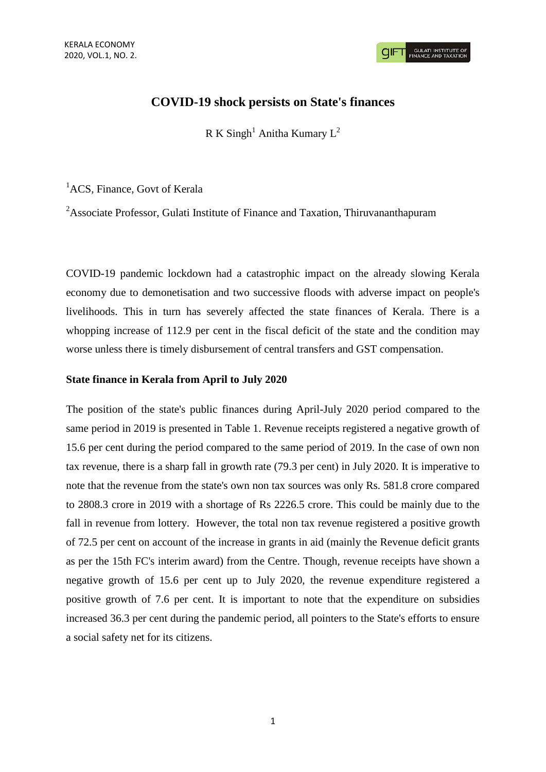**GULATI INSTITUTE O**<br>FINANCE AND TAXATIO

# **COVID-19 shock persists on State's finances**

R K Singh<sup>1</sup> Anitha Kumary  $L^2$ 

<sup>1</sup>ACS, Finance, Govt of Kerala

<sup>2</sup>Associate Professor, Gulati Institute of Finance and Taxation, Thiruvananthapuram

COVID-19 pandemic lockdown had a catastrophic impact on the already slowing Kerala economy due to demonetisation and two successive floods with adverse impact on people's livelihoods. This in turn has severely affected the state finances of Kerala. There is a whopping increase of 112.9 per cent in the fiscal deficit of the state and the condition may worse unless there is timely disbursement of central transfers and GST compensation.

### **State finance in Kerala from April to July 2020**

The position of the state's public finances during April-July 2020 period compared to the same period in 2019 is presented in Table 1. Revenue receipts registered a negative growth of 15.6 per cent during the period compared to the same period of 2019. In the case of own non tax revenue, there is a sharp fall in growth rate (79.3 per cent) in July 2020. It is imperative to note that the revenue from the state's own non tax sources was only Rs. 581.8 crore compared to 2808.3 crore in 2019 with a shortage of Rs 2226.5 crore. This could be mainly due to the fall in revenue from lottery. However, the total non tax revenue registered a positive growth of 72.5 per cent on account of the increase in grants in aid (mainly the Revenue deficit grants as per the 15th FC's interim award) from the Centre. Though, revenue receipts have shown a negative growth of 15.6 per cent up to July 2020, the revenue expenditure registered a positive growth of 7.6 per cent. It is important to note that the expenditure on subsidies increased 36.3 per cent during the pandemic period, all pointers to the State's efforts to ensure a social safety net for its citizens.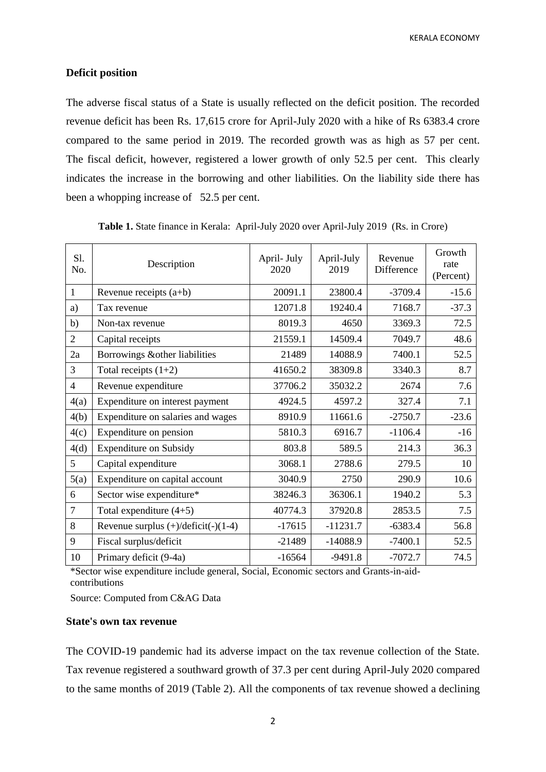KERALA ECONOMY

### **Deficit position**

The adverse fiscal status of a State is usually reflected on the deficit position. The recorded revenue deficit has been Rs. 17,615 crore for April-July 2020 with a hike of Rs 6383.4 crore compared to the same period in 2019. The recorded growth was as high as 57 per cent. The fiscal deficit, however, registered a lower growth of only 52.5 per cent. This clearly indicates the increase in the borrowing and other liabilities. On the liability side there has been a whopping increase of 52.5 per cent.

| S1.<br>No.     | Description                                  | April- July<br>2020 | April-July<br>2019 | Revenue<br>Difference | Growth<br>rate<br>(Percent) |
|----------------|----------------------------------------------|---------------------|--------------------|-----------------------|-----------------------------|
| 1              | Revenue receipts $(a+b)$                     | 20091.1             | 23800.4            | $-3709.4$             | $-15.6$                     |
| a)             | Tax revenue                                  | 12071.8             | 19240.4            | 7168.7                | $-37.3$                     |
| b)             | Non-tax revenue                              | 8019.3              | 4650               | 3369.3                | 72.5                        |
| $\overline{2}$ | Capital receipts                             | 21559.1             | 14509.4            | 7049.7                | 48.6                        |
| 2a             | Borrowings & other liabilities               | 21489               | 14088.9            | 7400.1                | 52.5                        |
| 3              | Total receipts $(1+2)$                       | 41650.2             | 38309.8            | 3340.3                | 8.7                         |
| 4              | Revenue expenditure                          | 37706.2             | 35032.2            | 2674                  | 7.6                         |
| 4(a)           | Expenditure on interest payment              | 4924.5              | 4597.2             | 327.4                 | 7.1                         |
| 4(b)           | Expenditure on salaries and wages            | 8910.9              | 11661.6            | $-2750.7$             | $-23.6$                     |
| 4(c)           | Expenditure on pension                       | 5810.3              | 6916.7             | $-1106.4$             | $-16$                       |
| 4(d)           | <b>Expenditure on Subsidy</b>                | 803.8               | 589.5              | 214.3                 | 36.3                        |
| 5              | Capital expenditure                          | 3068.1              | 2788.6             | 279.5                 | 10                          |
| 5(a)           | Expenditure on capital account               | 3040.9              | 2750               | 290.9                 | 10.6                        |
| 6              | Sector wise expenditure*                     | 38246.3             | 36306.1            | 1940.2                | 5.3                         |
| $\overline{7}$ | Total expenditure $(4+5)$                    | 40774.3             | 37920.8            | 2853.5                | 7.5                         |
| 8              | Revenue surplus $(+)/\text{deficit}(-)(1-4)$ | $-17615$            | $-11231.7$         | $-6383.4$             | 56.8                        |
| 9              | Fiscal surplus/deficit                       | $-21489$            | $-14088.9$         | $-7400.1$             | 52.5                        |
| 10             | Primary deficit (9-4a)                       | $-16564$            | $-9491.8$          | $-7072.7$             | 74.5                        |

**Table 1.** State finance in Kerala: April-July 2020 over April-July 2019 (Rs. in Crore)

\*Sector wise expenditure include general, Social, Economic sectors and Grants-in-aidcontributions

Source: Computed from C&AG Data

# **State's own tax revenue**

The COVID-19 pandemic had its adverse impact on the tax revenue collection of the State. Tax revenue registered a southward growth of 37.3 per cent during April-July 2020 compared to the same months of 2019 (Table 2). All the components of tax revenue showed a declining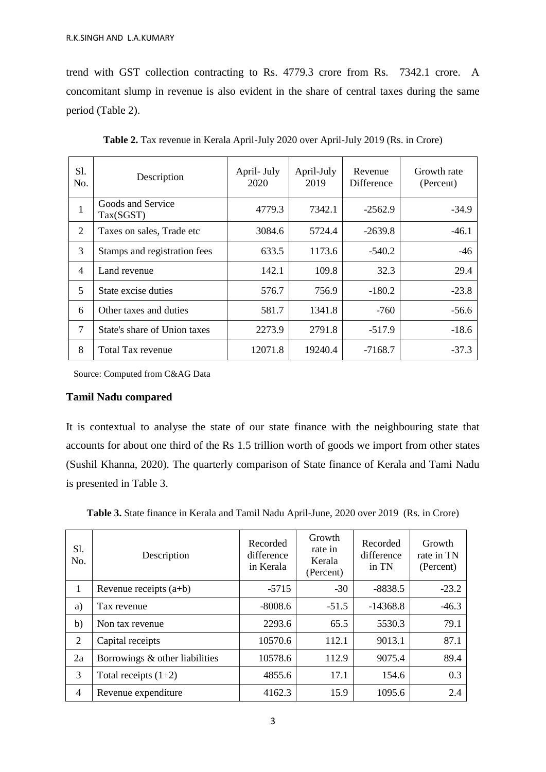trend with GST collection contracting to Rs. 4779.3 crore from Rs. 7342.1 crore. A concomitant slump in revenue is also evident in the share of central taxes during the same period (Table 2).

| Sl.<br>No.     | Description                    | April- July<br>2020 | April-July<br>2019 | Revenue<br>Difference | Growth rate<br>(Percent) |
|----------------|--------------------------------|---------------------|--------------------|-----------------------|--------------------------|
| 1              | Goods and Service<br>Tax(SGST) | 4779.3              | 7342.1             | $-2562.9$             | $-34.9$                  |
| 2              | Taxes on sales, Trade etc      | 3084.6              | 5724.4             | $-2639.8$             | $-46.1$                  |
| 3              | Stamps and registration fees   | 633.5               | 1173.6             | $-540.2$              | $-46$                    |
| $\overline{4}$ | Land revenue                   | 142.1               | 109.8              | 32.3                  | 29.4                     |
| 5              | State excise duties            | 576.7               | 756.9              | $-180.2$              | $-23.8$                  |
| 6              | Other taxes and duties         | 581.7               | 1341.8             | $-760$                | $-56.6$                  |
| $\overline{7}$ | State's share of Union taxes   | 2273.9              | 2791.8             | $-517.9$              | $-18.6$                  |
| 8              | Total Tax revenue              | 12071.8             | 19240.4            | -7168.7               | $-37.3$                  |

**Table 2.** Tax revenue in Kerala April-July 2020 over April-July 2019 (Rs. in Crore)

Source: Computed from C&AG Data

# **Tamil Nadu compared**

It is contextual to analyse the state of our state finance with the neighbouring state that accounts for about one third of the Rs 1.5 trillion worth of goods we import from other states (Sushil Khanna, 2020). The quarterly comparison of State finance of Kerala and Tami Nadu is presented in Table 3.

| Sl.<br>No.     | Description                    | Recorded<br>difference<br>in Kerala | Growth<br>rate in<br>Kerala<br>(Percent) | Recorded<br>difference<br>in TN | Growth<br>rate in TN<br>(Percent) |
|----------------|--------------------------------|-------------------------------------|------------------------------------------|---------------------------------|-----------------------------------|
| 1              | Revenue receipts $(a+b)$       | $-5715$                             | $-30$                                    | $-8838.5$                       | $-23.2$                           |
| a)             | Tax revenue                    | $-8008.6$                           | $-51.5$                                  | $-14368.8$                      | $-46.3$                           |
| b)             | Non tax revenue                | 2293.6                              | 65.5                                     | 5530.3                          | 79.1                              |
| 2              | Capital receipts               | 10570.6                             | 112.1                                    | 9013.1                          | 87.1                              |
| 2a             | Borrowings & other liabilities | 10578.6                             | 112.9                                    | 9075.4                          | 89.4                              |
| 3              | Total receipts $(1+2)$         | 4855.6                              | 17.1                                     | 154.6                           | 0.3                               |
| $\overline{4}$ | Revenue expenditure            | 4162.3                              | 15.9                                     | 1095.6                          | 2.4                               |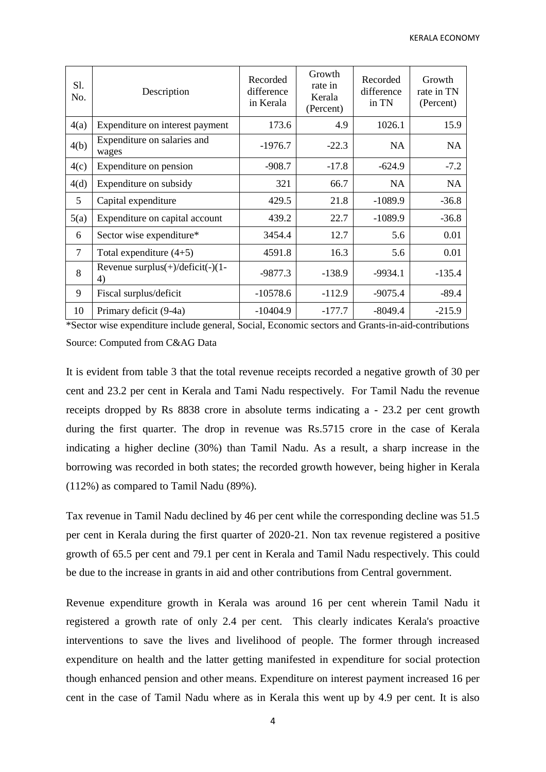| S1.<br>No.     | Description                                    | Recorded<br>difference<br>in Kerala | Growth<br>rate in<br>Kerala<br>(Percent) | Recorded<br>difference<br>in TN | Growth<br>rate in TN<br>(Percent) |
|----------------|------------------------------------------------|-------------------------------------|------------------------------------------|---------------------------------|-----------------------------------|
| 4(a)           | Expenditure on interest payment                | 173.6                               | 4.9                                      | 1026.1                          | 15.9                              |
| 4(b)           | Expenditure on salaries and<br>wages           | $-1976.7$                           | $-22.3$                                  | <b>NA</b>                       | <b>NA</b>                         |
| 4(c)           | Expenditure on pension                         | $-908.7$                            | $-17.8$                                  | $-624.9$                        | $-7.2$                            |
| 4(d)           | Expenditure on subsidy                         | 321                                 | 66.7                                     | <b>NA</b>                       | <b>NA</b>                         |
| 5              | Capital expenditure                            | 429.5                               | 21.8                                     | $-1089.9$                       | $-36.8$                           |
| 5(a)           | Expenditure on capital account                 | 439.2                               | 22.7                                     | $-1089.9$                       | $-36.8$                           |
| 6              | Sector wise expenditure*                       | 3454.4                              | 12.7                                     | 5.6                             | 0.01                              |
| $\overline{7}$ | Total expenditure $(4+5)$                      | 4591.8                              | 16.3                                     | 5.6                             | 0.01                              |
| 8              | Revenue surplus $(+)/$ deficit $(-)(1 -$<br>4) | $-9877.3$                           | $-138.9$                                 | $-9934.1$                       | $-135.4$                          |
| 9              | Fiscal surplus/deficit                         | $-10578.6$                          | $-112.9$                                 | $-9075.4$                       | $-89.4$                           |
| 10             | Primary deficit (9-4a)                         | $-10404.9$                          | $-177.7$                                 | $-8049.4$                       | $-215.9$                          |

\*Sector wise expenditure include general, Social, Economic sectors and Grants-in-aid-contributions Source: Computed from C&AG Data

It is evident from table 3 that the total revenue receipts recorded a negative growth of 30 per cent and 23.2 per cent in Kerala and Tami Nadu respectively. For Tamil Nadu the revenue receipts dropped by Rs 8838 crore in absolute terms indicating a - 23.2 per cent growth during the first quarter. The drop in revenue was Rs.5715 crore in the case of Kerala indicating a higher decline (30%) than Tamil Nadu. As a result, a sharp increase in the borrowing was recorded in both states; the recorded growth however, being higher in Kerala (112%) as compared to Tamil Nadu (89%).

Tax revenue in Tamil Nadu declined by 46 per cent while the corresponding decline was 51.5 per cent in Kerala during the first quarter of 2020-21. Non tax revenue registered a positive growth of 65.5 per cent and 79.1 per cent in Kerala and Tamil Nadu respectively. This could be due to the increase in grants in aid and other contributions from Central government.

Revenue expenditure growth in Kerala was around 16 per cent wherein Tamil Nadu it registered a growth rate of only 2.4 per cent. This clearly indicates Kerala's proactive interventions to save the lives and livelihood of people. The former through increased expenditure on health and the latter getting manifested in expenditure for social protection though enhanced pension and other means. Expenditure on interest payment increased 16 per cent in the case of Tamil Nadu where as in Kerala this went up by 4.9 per cent. It is also